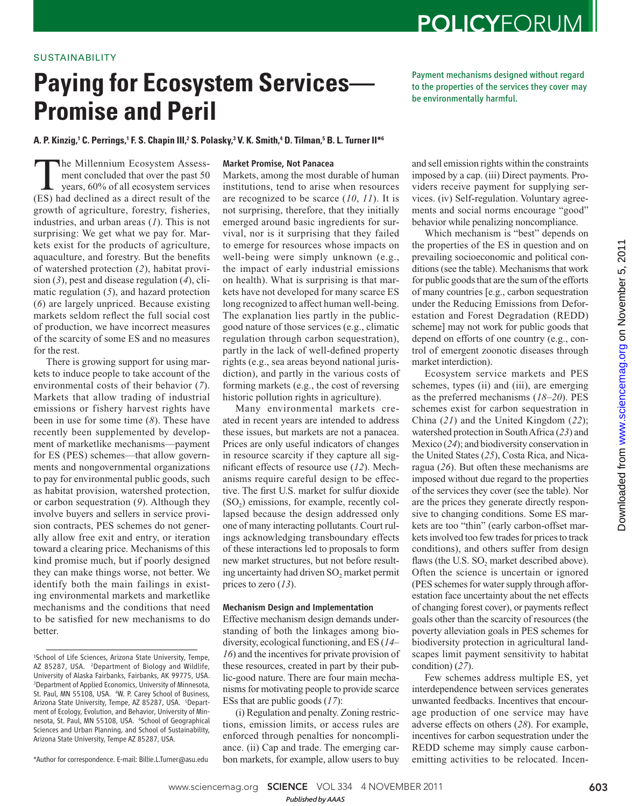# **POLICYFORUM**

### SUSTAINABILITY

# **Paying for Ecosystem Services— Promise and Peril**

Payment mechanisms designed without regard to the properties of the services they cover may be environmentally harmful.

A. P. Kinzig,' C. Perrings,' F. S. Chapin III,<sup>2</sup> S. Polasky,<sup>3</sup> V. K. Smith,<sup>4</sup> D. Tilman,<sup>5</sup> B. L. Turner II\*6

The Millennium Ecosystem Assess-<br>ment concluded that over the past 50<br>years, 60% of all ecosystem services<br>(ES) had declined as a direct result of the ment concluded that over the past 50 years, 60% of all ecosystem services (ES) had declined as a direct result of the growth of agriculture, forestry, fisheries, industries, and urban areas  $(1)$ . This is not surprising: We get what we pay for. Markets exist for the products of agriculture, aquaculture, and forestry. But the benefits of watershed protection (2), habitat provision  $(3)$ , pest and disease regulation  $(4)$ , climatic regulation (5), and hazard protection ( *6*) are largely unpriced. Because existing markets seldom reflect the full social cost of production, we have incorrect measures of the scarcity of some ES and no measures for the rest.

There is growing support for using markets to induce people to take account of the environmental costs of their behavior (7). Markets that allow trading of industrial emissions or fishery harvest rights have been in use for some time ( *8*). These have recently been supplemented by development of marketlike mechanisms—payment for ES (PES) schemes—that allow governments and nongovernmental organizations to pay for environmental public goods, such as habitat provision, watershed protection, or carbon sequestration (9). Although they involve buyers and sellers in service provision contracts, PES schemes do not generally allow free exit and entry, or iteration toward a clearing price. Mechanisms of this kind promise much, but if poorly designed they can make things worse, not better. We identify both the main failings in existing environmental markets and marketlike mechanisms and the conditions that need to be satisfied for new mechanisms to do better.

\*Author for correspondence. E-mail: Billie.L.Turner@asu.edu

#### Market Promise, Not Panacea

Markets, among the most durable of human institutions, tend to arise when resources are recognized to be scarce ( *10*, *11*). It is not surprising, therefore, that they initially emerged around basic ingredients for survival, nor is it surprising that they failed to emerge for resources whose impacts on well-being were simply unknown (e.g., the impact of early industrial emissions on health). What is surprising is that markets have not developed for many scarce ES long recognized to affect human well-being. The explanation lies partly in the publicgood nature of those services (e.g., climatic regulation through carbon sequestration), partly in the lack of well-defined property rights (e.g., sea areas beyond national jurisdiction), and partly in the various costs of forming markets (e.g., the cost of reversing historic pollution rights in agriculture).

Many environmental markets created in recent years are intended to address these issues, but markets are not a panacea. Prices are only useful indicators of changes in resource scarcity if they capture all significant effects of resource use (12). Mechanisms require careful design to be effective. The first U.S. market for sulfur dioxide  $(SO<sub>2</sub>)$  emissions, for example, recently collapsed because the design addressed only one of many interacting pollutants. Court rulings acknowledging transboundary effects of these interactions led to proposals to form new market structures, but not before resulting uncertainty had driven SO<sub>2</sub> market permit prices to zero  $(13)$ .

#### Mechanism Design and Implementation

Effective mechanism design demands understanding of both the linkages among biodiversity, ecological functioning, and ES ( *14*– *16*) and the incentives for private provision of these resources, created in part by their public-good nature. There are four main mechanisms for motivating people to provide scarce ESs that are public goods ( *17*):

(i) Regulation and penalty. Zoning restrictions, emission limits, or access rules are enforced through penalties for noncompliance. (ii) Cap and trade. The emerging carbon markets, for example, allow users to buy

and sell emission rights within the constraints imposed by a cap. (iii) Direct payments. Providers receive payment for supplying services. (iv) Self-regulation. Voluntary agreements and social norms encourage "good" behavior while penalizing noncompliance.

Which mechanism is "best" depends on the properties of the ES in question and on prevailing socioeconomic and political conditions (see the table). Mechanisms that work for public goods that are the sum of the efforts of many countries [e.g., carbon sequestration under the Reducing Emissions from Deforestation and Forest Degradation (REDD) scheme] may not work for public goods that depend on efforts of one country (e.g., control of emergent zoonotic diseases through market interdiction).

Ecosystem service markets and PES schemes, types (ii) and (iii), are emerging as the preferred mechanisms ( $18-20$ ). PES schemes exist for carbon sequestration in China  $(21)$  and the United Kingdom  $(22)$ ; watershed protection in South Africa (23) and Mexico (24); and biodiversity conservation in the United States (25), Costa Rica, and Nicaragua ( *26*). But often these mechanisms are imposed without due regard to the properties of the services they cover (see the table). Nor are the prices they generate directly responsive to changing conditions. Some ES markets are too "thin" (early carbon-offset markets involved too few trades for prices to track conditions), and others suffer from design flaws (the U.S.  $SO_2$  market described above). Often the science is uncertain or ignored (PES schemes for water supply through afforestation face uncertainty about the net effects of changing forest cover), or payments reflect goals other than the scarcity of resources (the poverty alleviation goals in PES schemes for biodiversity protection in agricultural landscapes limit payment sensitivity to habitat condition) (27).

Few schemes address multiple ES, yet interdependence between services generates unwanted feedbacks. Incentives that encourage production of one service may have adverse effects on others ( *28*). For example, incentives for carbon sequestration under the REDD scheme may simply cause carbonemitting activities to be relocated. Incen-

<sup>1</sup>School of Life Sciences, Arizona State University, Tempe, AZ 85287, USA. <sup>2</sup>Department of Biology and Wildlife, University of Alaska Fairbanks, Fairbanks, AK 99775, USA. <sup>3</sup>Department of Applied Economics, University of Minnesota, St. Paul, MN 55108, USA. <sup>4</sup>W. P. Carey School of Business, Arizona State University, Tempe, AZ 85287, USA. <sup>5</sup>Department of Ecology, Evolution, and Behavior, University of Minnesota, St. Paul, MN 55108, USA. <sup>6</sup>School of Geographical Sciences and Urban Planning, and School of Sustainability, Arizona State University, Tempe AZ 85287, USA.

www.sciencemag.org **SCIENCE** VOL 334 4 NOVEMBER 2011 603 *Published byAAAS*